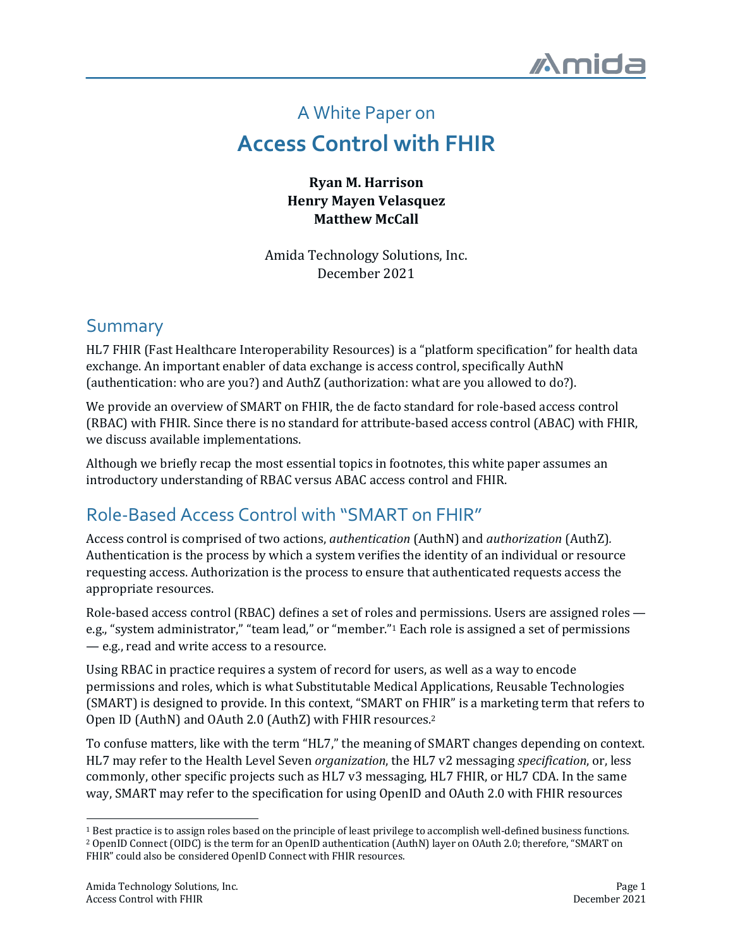# A White Paper on **Access Control with FHIR**

**Ryan M. Harrison Henry Mayen Velasquez Matthew McCall**

Amida Technology Solutions, Inc. December 2021

### Summary

HL7 FHIR (Fast Healthcare Interoperability Resources) is a "platform specification" for health data exchange. An important enabler of data exchange is access control, specifically AuthN (authentication: who are you?) and AuthZ (authorization: what are you allowed to do?).

We provide an overview of SMART on FHIR, the de facto standard for role-based access control (RBAC) with FHIR. Since there is no standard for attribute-based access control (ABAC) with FHIR, we discuss available implementations.

Although we briefly recap the most essential topics in footnotes, this white paper assumes an introductory understanding of RBAC versus ABAC access control and FHIR.

## Role-Based Access Control with "SMART on FHIR"

Access control is comprised of two actions, *authentication* (AuthN) and *authorization* (AuthZ). Authentication is the process by which a system verifies the identity of an individual or resource requesting access. Authorization is the process to ensure that authenticated requests access the appropriate resources.

Role-based access control (RBAC) defines a set of roles and permissions. Users are assigned roles e.g., "system administrator," "team lead," or "member."<sup>1</sup> Each role is assigned a set of permissions - e.g., read and write access to a resource.

Using RBAC in practice requires a system of record for users, as well as a way to encode permissions and roles, which is what Substitutable Medical Applications, Reusable Technologies (SMART) is designed to provide. In this context, "SMART on FHIR" is a marketing term that refers to Open ID (AuthN) and OAuth 2.0 (AuthZ) with FHIR resources.<sup>2</sup>

To confuse matters, like with the term "HL7," the meaning of SMART changes depending on context. HL7 may refer to the Health Level Seven *organization*, the HL7 v2 messaging *specification*, or, less commonly, other specific projects such as HL7 v3 messaging, HL7 FHIR, or HL7 CDA. In the same way, SMART may refer to the specification for using OpenID and OAuth 2.0 with FHIR resources

<sup>&</sup>lt;sup>1</sup> Best practice is to assign roles based on the principle of least privilege to accomplish well-defined business functions. <sup>2</sup> OpenID Connect (OIDC) is the term for an OpenID authentication (AuthN) layer on OAuth 2.0; therefore, "SMART on FHIR" could also be considered OpenID Connect with FHIR resources.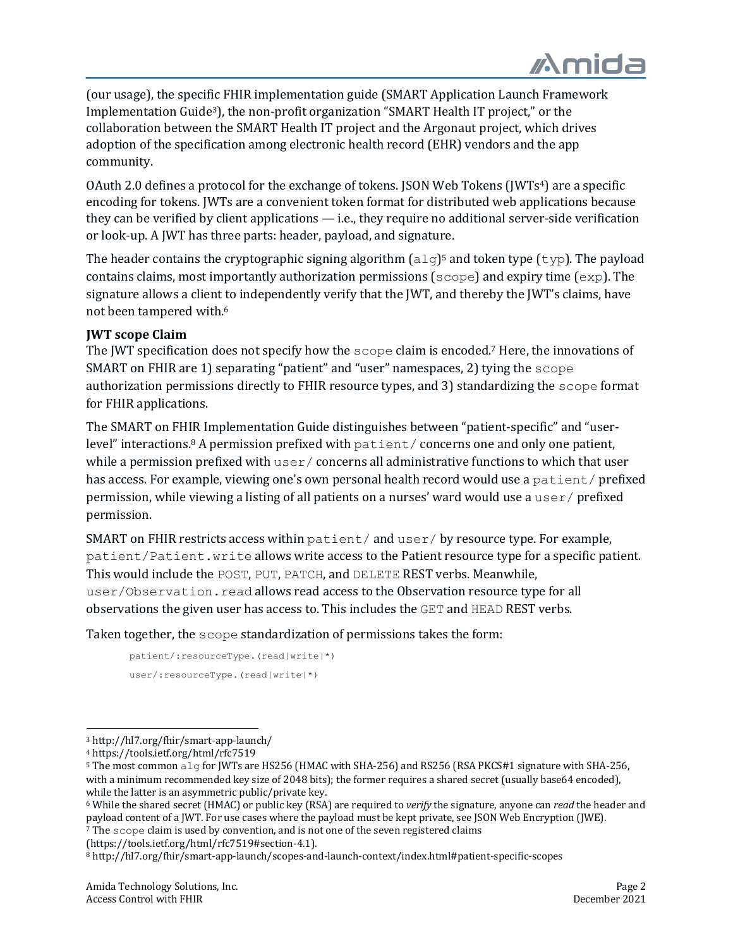(our usage), the specific FHIR implementation guide (SMART Application Launch Framework Implementation Guide<sup>3</sup>), the non-profit organization "SMART Health IT project," or the collaboration between the SMART Health IT project and the Argonaut project, which drives adoption of the specification among electronic health record (EHR) vendors and the app community. 

OAuth 2.0 defines a protocol for the exchange of tokens. [SON Web Tokens (JWTs<sup>4</sup>) are a specific encoding for tokens. JWTs are a convenient token format for distributed web applications because they can be verified by client applications  $-$  i.e., they require no additional server-side verification or look-up. A JWT has three parts: header, payload, and signature.

The header contains the cryptographic signing algorithm  $\left[\frac{a \log 5}{a}\right]$  and token type  $\left(\frac{t}{v}p\right)$ . The payload contains claims, most importantly authorization permissions  $(\text{scope})$  and expiry time  $(\exp)$ . The signature allows a client to independently verify that the [WT, and thereby the [WT's claims, have not been tampered with.<sup>6</sup>

#### **JWT** scope Claim

The  $JWT$  specification does not specify how the  $\sigma$  scope claim is encoded.<sup>7</sup> Here, the innovations of SMART on FHIR are 1) separating "patient" and "user" namespaces, 2) tying the scope authorization permissions directly to FHIR resource types, and 3) standardizing the scope format for FHIR applications.

The SMART on FHIR Implementation Guide distinguishes between "patient-specific" and "userlevel" interactions.<sup>8</sup> A permission prefixed with patient/ concerns one and only one patient, while a permission prefixed with  $user/ concerns$  all administrative functions to which that user has access. For example, viewing one's own personal health record would use a patient/ prefixed permission, while viewing a listing of all patients on a nurses' ward would use a  $user/$  prefixed permission.

SMART on FHIR restricts access within  $\text{pattern}/\text{and } \text{user}/\text{by}$  resource type. For example, patient/Patient.write allows write access to the Patient resource type for a specific patient. This would include the POST, PUT, PATCH, and DELETE REST verbs. Meanwhile, user/Observation.read allows read access to the Observation resource type for all observations the given user has access to. This includes the  $GET$  and  $HEAD$  REST verbs.

Taken together, the  $\frac{1}{2}$  scope standardization of permissions takes the form:

```
patient/:resourceType.(read|write|*)
user/:resourceType.(read|write|*)
```
(https://tools.ietf.org/html/rfc7519#section-4.1).

<sup>3</sup> http://hl7.org/fhir/smart-app-launch/

<sup>4</sup> https://tools.ietf.org/html/rfc7519

 $5$  The most common alg for JWTs are HS256 (HMAC with SHA-256) and RS256 (RSA PKCS#1 signature with SHA-256, with a minimum recommended key size of 2048 bits); the former requires a shared secret (usually base64 encoded), while the latter is an asymmetric public/private  $\ker$ .

<sup>&</sup>lt;sup>6</sup> While the shared secret (HMAC) or public key (RSA) are required to *verify* the signature, anyone can *read* the header and payload content of a JWT. For use cases where the payload must be kept private, see JSON Web Encryption (JWE). 7 The scope claim is used by convention, and is not one of the seven registered claims

<sup>8</sup> http://hl7.org/fhir/smart-app-launch/scopes-and-launch-context/index.html#patient-specific-scopes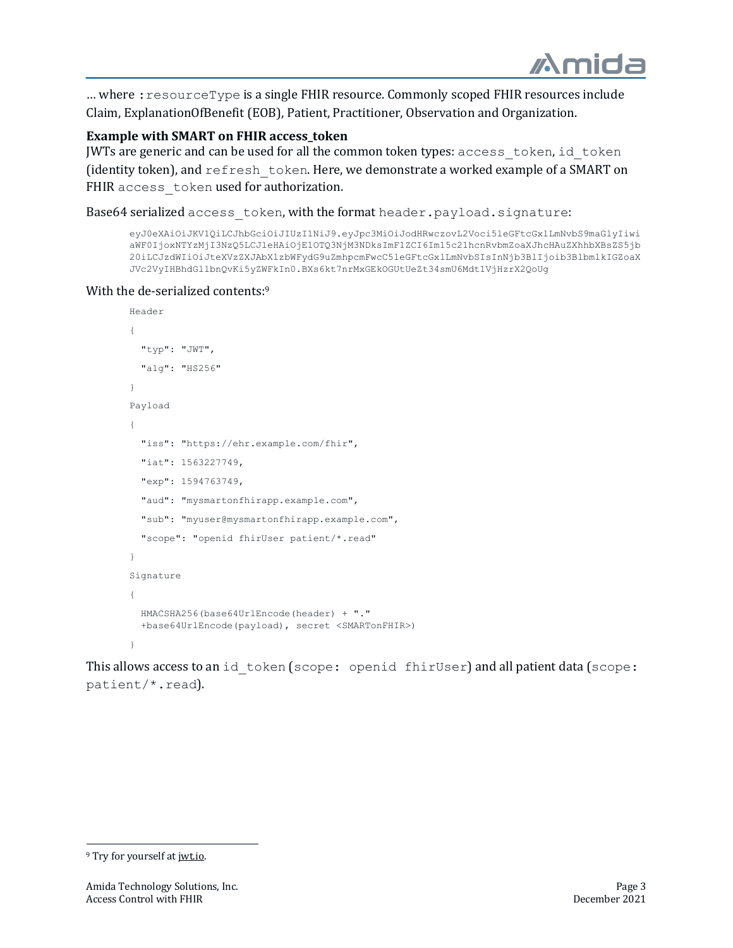... where : resourceType is a single FHIR resource. Commonly scoped FHIR resources include Claim, ExplanationOfBenefit (EOB), Patient, Practitioner, Observation and Organization.

#### **Example with SMART on FHIR access token**

JWTs are generic and can be used for all the common token types: access token, id token (identity token), and refresh token. Here, we demonstrate a worked example of a SMART on FHIR access token used for authorization.

Base64 serialized access token, with the format header.payload.signature:

```
eyJ0eXAiOiJKV1QiLCJhbGciOiJIUzI1NiJ9.eyJpc3MiOiJodHRwczovL2Voci5leGFtcGxlLmNvbS9maGlyIiwi
aWF0IjoxNTYzMjI3NzQ5LCJleHAiOjE1OTQ3NjM3NDksImF1ZCI6Im15c21hcnRvbmZoaXJhcHAuZXhhbXBsZS5jb
20iLCJzdWIiOiJteXVzZXJAbXlzbWFydG9uZmhpcmFwcC5leGFtcGxlLmNvbSIsInNjb3BlIjoib3BlbmlkIGZoaX
JVc2VyIHBhdGllbnQvKi5yZWFkIn0.BXs6kt7nrMxGEkOGUtUeZt34smU6Mdt1VjHzrX2QoUg
```
#### With the de-serialized contents:<sup>9</sup>

```
Header
{
   "typ": "JWT",
   "alg": "HS256"
}
Payload
{
   "iss": "https://ehr.example.com/fhir",
   "iat": 1563227749,
   "exp": 1594763749,
   "aud": "mysmartonfhirapp.example.com",
   "sub": "myuser@mysmartonfhirapp.example.com",
   "scope": "openid fhirUser patient/*.read"
}
Signature
{
   HMACSHA256(base64UrlEncode(header) + "."
   +base64UrlEncode(payload), secret <SMARTonFHIR>)
}
```
This allows access to an id token (scope: openid fhirUser) and all patient data (scope: patient/\*.read).

<sup>&</sup>lt;sup>9</sup> Try for yourself at jwt.io.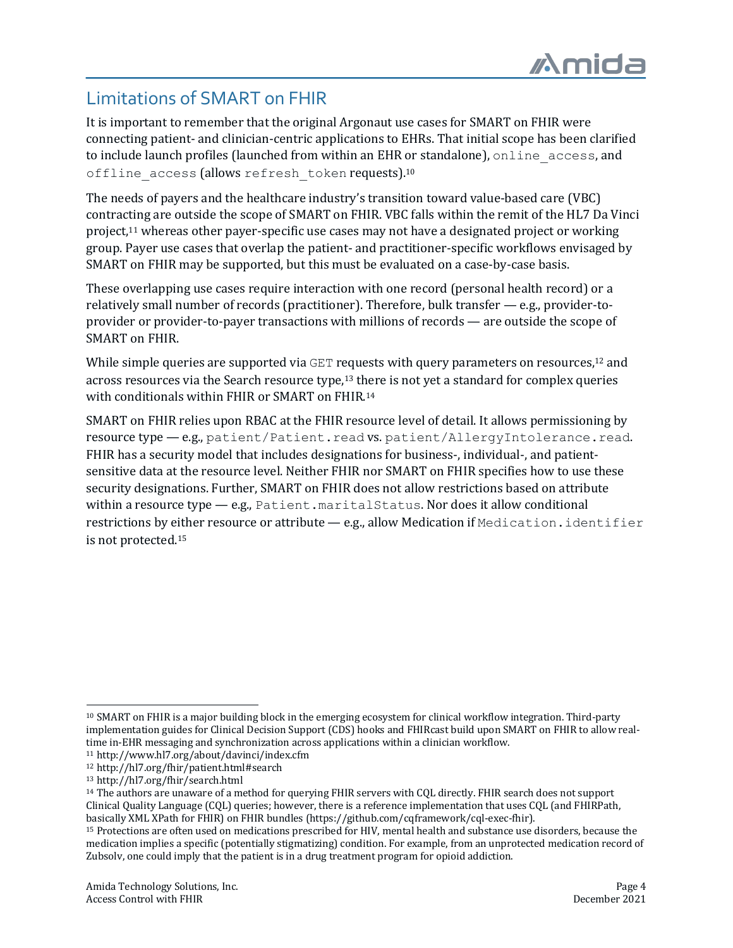# Limitations of SMART on FHIR

It is important to remember that the original Argonaut use cases for SMART on FHIR were connecting patient- and clinician-centric applications to EHRs. That initial scope has been clarified to include launch profiles (launched from within an EHR or standalone), online access, and offline access (allows refresh token requests).<sup>10</sup>

The needs of payers and the healthcare industry's transition toward value-based care (VBC) contracting are outside the scope of SMART on FHIR. VBC falls within the remit of the HL7 Da Vinci project,<sup>11</sup> whereas other payer-specific use cases may not have a designated project or working group. Payer use cases that overlap the patient- and practitioner-specific workflows envisaged by SMART on FHIR may be supported, but this must be evaluated on a case-by-case basis.

These overlapping use cases require interaction with one record (personal health record) or a relatively small number of records (practitioner). Therefore, bulk transfer  $-$  e.g., provider-toprovider or provider-to-payer transactions with millions of records — are outside the scope of SMART on FHIR.

While simple queries are supported via GET requests with query parameters on resources,<sup>12</sup> and across resources via the Search resource type,<sup>13</sup> there is not yet a standard for complex queries with conditionals within FHIR or SMART on FHIR.<sup>14</sup>

SMART on FHIR relies upon RBAC at the FHIR resource level of detail. It allows permissioning by resource type - e.g., patient/Patient.read vs. patient/AllergyIntolerance.read. FHIR has a security model that includes designations for business-, individual-, and patientsensitive data at the resource level. Neither FHIR nor SMART on FHIR specifies how to use these security designations. Further, SMART on FHIR does not allow restrictions based on attribute within a resource type  $-$  e.g., Patient.maritalStatus. Nor does it allow conditional restrictions by either resource or attribute  $-$  e.g., allow Medication if Medication.identifier is not protected.<sup>15</sup>

<sup>&</sup>lt;sup>10</sup> SMART on FHIR is a major building block in the emerging ecosystem for clinical workflow integration. Third-party implementation guides for Clinical Decision Support (CDS) hooks and FHIRcast build upon SMART on FHIR to allow realtime in-EHR messaging and synchronization across applications within a clinician workflow.

<sup>11</sup> http://www.hl7.org/about/davinci/index.cfm

<sup>12</sup> http://hl7.org/fhir/patient.html#search

<sup>13</sup> http://hl7.org/fhir/search.html

<sup>&</sup>lt;sup>14</sup> The authors are unaware of a method for querying FHIR servers with COL directly. FHIR search does not support Clinical Quality Language (CQL) queries; however, there is a reference implementation that uses CQL (and FHIRPath, basically XML XPath for FHIR) on FHIR bundles (https://github.com/cqframework/cql-exec-fhir).

<sup>15</sup> Protections are often used on medications prescribed for HIV, mental health and substance use disorders, because the medication implies a specific (potentially stigmatizing) condition. For example, from an unprotected medication record of Zubsoly, one could imply that the patient is in a drug treatment program for opioid addiction.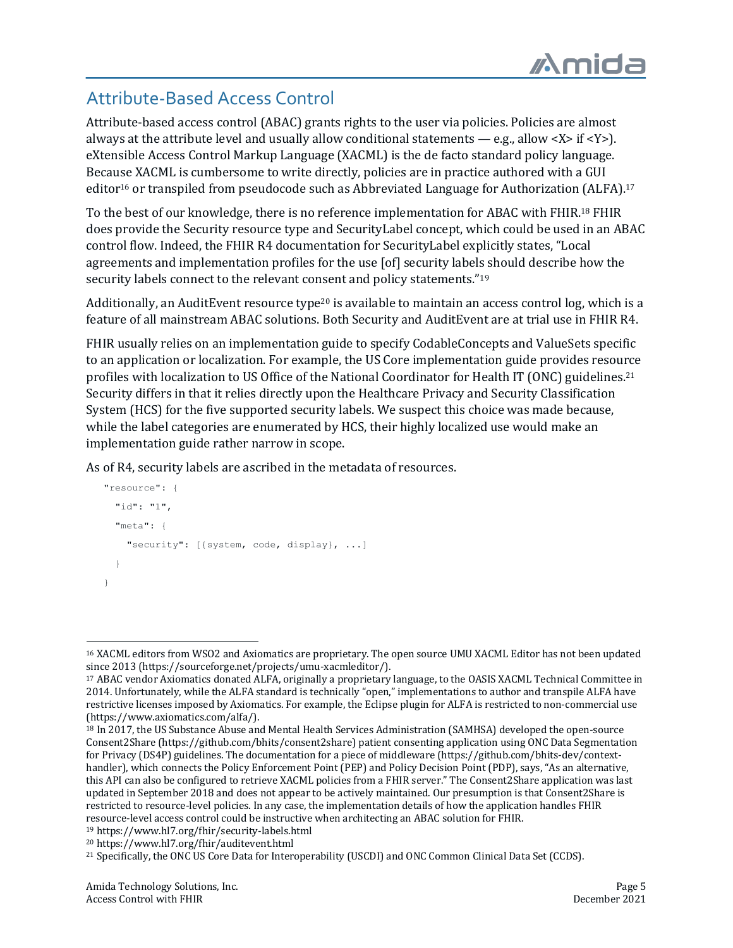# Attribute-Based Access Control

Attribute-based access control (ABAC) grants rights to the user via policies. Policies are almost always at the attribute level and usually allow conditional statements — e.g., allow <X> if <Y>). eXtensible Access Control Markup Language (XACML) is the de facto standard policy language. Because XACML is cumbersome to write directly, policies are in practice authored with a GUI editor<sup>16</sup> or transpiled from pseudocode such as Abbreviated Language for Authorization (ALFA).<sup>17</sup>

To the best of our knowledge, there is no reference implementation for ABAC with FHIR.<sup>18</sup> FHIR does provide the Security resource type and SecurityLabel concept, which could be used in an ABAC control flow. Indeed, the FHIR R4 documentation for SecurityLabel explicitly states, "Local agreements and implementation profiles for the use [of] security labels should describe how the security labels connect to the relevant consent and policy statements."<sup>19</sup>

Additionally, an AuditEvent resource type<sup>20</sup> is available to maintain an access control log, which is a feature of all mainstream ABAC solutions. Both Security and AuditEvent are at trial use in FHIR R4.

FHIR usually relies on an implementation guide to specify CodableConcepts and ValueSets specific to an application or localization. For example, the US Core implementation guide provides resource profiles with localization to US Office of the National Coordinator for Health IT (ONC) guidelines.<sup>21</sup> Security differs in that it relies directly upon the Healthcare Privacy and Security Classification System (HCS) for the five supported security labels. We suspect this choice was made because, while the label categories are enumerated by HCS, their highly localized use would make an implementation guide rather narrow in scope.

As of R4, security labels are ascribed in the metadata of resources.

```
 "resource": {
      "id": "1",
      "meta": {
        "security": [{system, code, display}, ...]
 }
    }
```
<sup>&</sup>lt;sup>16</sup> XACML editors from WSO2 and Axiomatics are proprietary. The open source UMU XACML Editor has not been updated since 2013 (https://sourceforge.net/projects/umu-xacmleditor/).

<sup>&</sup>lt;sup>17</sup> ABAC vendor Axiomatics donated ALFA, originally a proprietary language, to the OASIS XACML Technical Committee in 2014. Unfortunately, while the ALFA standard is technically "open," implementations to author and transpile ALFA have restrictive licenses imposed by Axiomatics. For example, the Eclipse plugin for ALFA is restricted to non-commercial use (https://www.axiomatics.com/alfa/).

<sup>&</sup>lt;sup>18</sup> In 2017, the US Substance Abuse and Mental Health Services Administration (SAMHSA) developed the open-source Consent2Share (https://github.com/bhits/consent2share) patient consenting application using ONC Data Segmentation for Privacy (DS4P) guidelines. The documentation for a piece of middleware (https://github.com/bhits-dev/contexthandler), which connects the Policy Enforcement Point (PEP) and Policy Decision Point (PDP), says, "As an alternative, this API can also be configured to retrieve XACML policies from a FHIR server." The Consent2Share application was last updated in September 2018 and does not appear to be actively maintained. Our presumption is that Consent2Share is restricted to resource-level policies. In any case, the implementation details of how the application handles FHIR resource-level access control could be instructive when architecting an ABAC solution for FHIR.

<sup>19</sup> https://www.hl7.org/fhir/security-labels.html

<sup>20</sup> https://www.hl7.org/fhir/auditevent.html

<sup>&</sup>lt;sup>21</sup> Specifically, the ONC US Core Data for Interoperability (USCDI) and ONC Common Clinical Data Set (CCDS).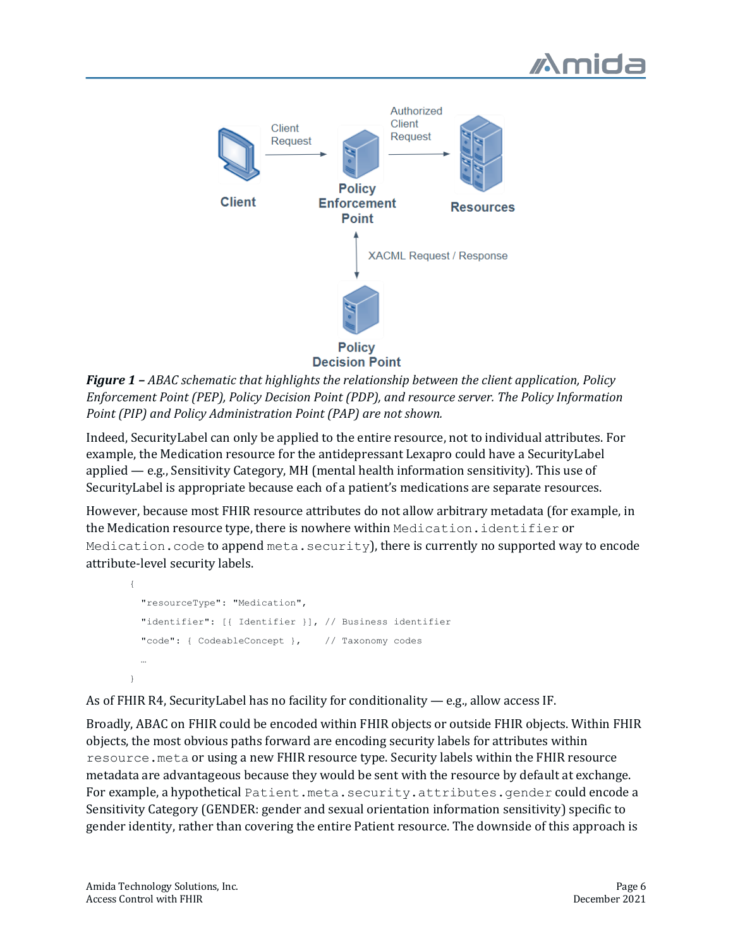



*Figure* **1** – *ABAC* schematic that highlights the relationship between the client application, Policy *Enforcement Point (PEP), Policy Decision Point (PDP), and resource server. The Policy Information Point* (PIP) and Policy Administration Point (PAP) are not shown.

Indeed, SecurityLabel can only be applied to the entire resource, not to individual attributes. For example, the Medication resource for the antidepressant Lexapro could have a SecurityLabel applied  $-$  e.g., Sensitivity Category, MH (mental health information sensitivity). This use of SecurityLabel is appropriate because each of a patient's medications are separate resources.

However, because most FHIR resource attributes do not allow arbitrary metadata (for example, in the Medication resource type, there is nowhere within Medication.identifier or Medication.code to append meta.security), there is currently no supported way to encode attribute-level security labels.

```
{
   "resourceType": "Medication",
   "identifier": [{ Identifier }], // Business identifier
   "code": { CodeableConcept }, // Taxonomy codes
 …
\mathbf{I}
```
As of FHIR R4, SecurityLabel has no facility for conditionality  $-$  e.g., allow access IF.

Broadly, ABAC on FHIR could be encoded within FHIR objects or outside FHIR objects. Within FHIR objects, the most obvious paths forward are encoding security labels for attributes within resource.meta or using a new FHIR resource type. Security labels within the FHIR resource metadata are advantageous because they would be sent with the resource by default at exchange. For example, a hypothetical Patient.meta.security.attributes.gender could encode a Sensitivity Category (GENDER: gender and sexual orientation information sensitivity) specific to gender identity, rather than covering the entire Patient resource. The downside of this approach is